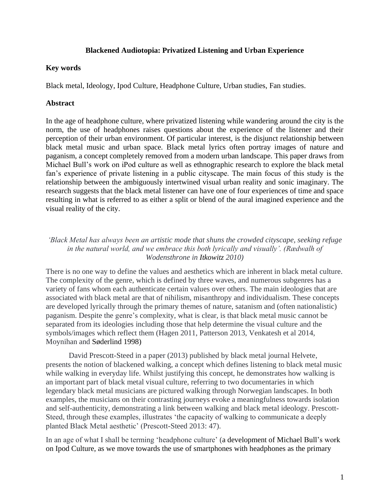### **Blackened Audiotopia: Privatized Listening and Urban Experience**

### **Key words**

Black metal, Ideology, Ipod Culture, Headphone Culture, Urban studies, Fan studies.

## **Abstract**

In the age of headphone culture, where privatized listening while wandering around the city is the norm, the use of headphones raises questions about the experience of the listener and their perception of their urban environment. Of particular interest, is the disjunct relationship between black metal music and urban space. Black metal lyrics often portray images of nature and paganism, a concept completely removed from a modern urban landscape. This paper draws from Michael Bull's work on iPod culture as well as ethnographic research to explore the black metal fan's experience of private listening in a public cityscape. The main focus of this study is the relationship between the ambiguously intertwined visual urban reality and sonic imaginary. The research suggests that the black metal listener can have one of four experiences of time and space resulting in what is referred to as either a split or blend of the aural imagined experience and the visual reality of the city.

*'Black Metal has always been an artistic mode that shuns the crowded cityscape, seeking refuge in the natural world, and we embrace this both lyrically and visually'. (Rædwalh of Wodensthrone in Itkowitz 2010)*

There is no one way to define the values and aesthetics which are inherent in black metal culture. The complexity of the genre, which is defined by three waves, and numerous subgenres has a variety of fans whom each authenticate certain values over others. The main ideologies that are associated with black metal are that of nihilism, misanthropy and individualism. These concepts are developed lyrically through the primary themes of nature, satanism and (often nationalistic) paganism. Despite the genre's complexity, what is clear, is that black metal music cannot be separated from its ideologies including those that help determine the visual culture and the symbols/images which reflect them (Hagen 2011, Patterson 2013, Venkatesh et al 2014, Moynihan and Søderlind 1998)

David Prescott-Steed in a paper (2013) published by black metal journal Helvete, presents the notion of blackened walking, a concept which defines listening to black metal music while walking in everyday life. Whilst justifying this concept, he demonstrates how walking is an important part of black metal visual culture, referring to two documentaries in which legendary black metal musicians are pictured walking through Norwegian landscapes. In both examples, the musicians on their contrasting journeys evoke a meaningfulness towards isolation and self-authenticity, demonstrating a link between walking and black metal ideology. Prescott-Steed, through these examples, illustrates 'the capacity of walking to communicate a deeply planted Black Metal aesthetic' (Prescott-Steed 2013: 47).

In an age of what I shall be terming 'headphone culture' (a development of Michael Bull's work on Ipod Culture, as we move towards the use of smartphones with headphones as the primary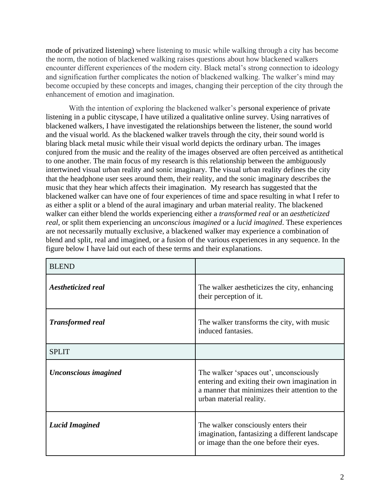mode of privatized listening) where listening to music while walking through a city has become the norm, the notion of blackened walking raises questions about how blackened walkers encounter different experiences of the modern city. Black metal's strong connection to ideology and signification further complicates the notion of blackened walking. The walker's mind may become occupied by these concepts and images, changing their perception of the city through the enhancement of emotion and imagination.

With the intention of exploring the blackened walker's personal experience of private listening in a public cityscape, I have utilized a qualitative online survey. Using narratives of blackened walkers, I have investigated the relationships between the listener, the sound world and the visual world. As the blackened walker travels through the city, their sound world is blaring black metal music while their visual world depicts the ordinary urban. The images conjured from the music and the reality of the images observed are often perceived as antithetical to one another. The main focus of my research is this relationship between the ambiguously intertwined visual urban reality and sonic imaginary. The visual urban reality defines the city that the headphone user sees around them, their reality, and the sonic imaginary describes the music that they hear which affects their imagination. My research has suggested that the blackened walker can have one of four experiences of time and space resulting in what I refer to as either a split or a blend of the aural imaginary and urban material reality. The blackened walker can either blend the worlds experiencing either a *transformed real* or an *aestheticized real*, or split them experiencing an *unconscious imagined* or a *lucid imagined*. These experiences are not necessarily mutually exclusive, a blackened walker may experience a combination of blend and split, real and imagined, or a fusion of the various experiences in any sequence. In the figure below I have laid out each of these terms and their explanations.

| <b>BLEND</b>              |                                                                                                                                                                      |
|---------------------------|----------------------------------------------------------------------------------------------------------------------------------------------------------------------|
| <i>Aestheticized real</i> | The walker aestheticizes the city, enhancing<br>their perception of it.                                                                                              |
| <b>Transformed real</b>   | The walker transforms the city, with music<br>induced fantasies.                                                                                                     |
| <b>SPLIT</b>              |                                                                                                                                                                      |
| Unconscious imagined      | The walker 'spaces out', unconsciously<br>entering and exiting their own imagination in<br>a manner that minimizes their attention to the<br>urban material reality. |
| <b>Lucid Imagined</b>     | The walker consciously enters their<br>imagination, fantasizing a different landscape<br>or image than the one before their eyes.                                    |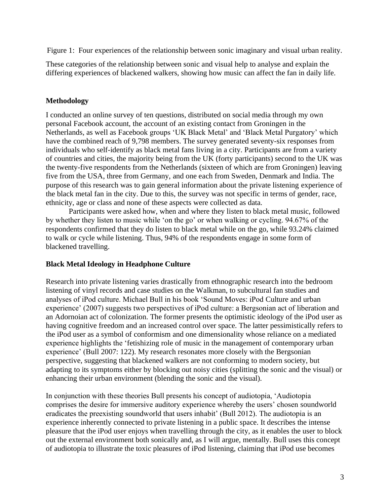Figure 1: Four experiences of the relationship between sonic imaginary and visual urban reality.

These categories of the relationship between sonic and visual help to analyse and explain the differing experiences of blackened walkers, showing how music can affect the fan in daily life.

## **Methodology**

I conducted an online survey of ten questions, distributed on social media through my own personal Facebook account, the account of an existing contact from Groningen in the Netherlands, as well as Facebook groups 'UK Black Metal' and 'Black Metal Purgatory' which have the combined reach of 9,798 members. The survey generated seventy-six responses from individuals who self-identify as black metal fans living in a city. Participants are from a variety of countries and cities, the majority being from the UK (forty participants) second to the UK was the twenty-five respondents from the Netherlands (sixteen of which are from Groningen) leaving five from the USA, three from Germany, and one each from Sweden, Denmark and India. The purpose of this research was to gain general information about the private listening experience of the black metal fan in the city. Due to this, the survey was not specific in terms of gender, race, ethnicity, age or class and none of these aspects were collected as data.

Participants were asked how, when and where they listen to black metal music, followed by whether they listen to music while 'on the go' or when walking or cycling. 94.67% of the respondents confirmed that they do listen to black metal while on the go, while 93.24% claimed to walk or cycle while listening. Thus, 94% of the respondents engage in some form of blackened travelling.

## **Black Metal Ideology in Headphone Culture**

Research into private listening varies drastically from ethnographic research into the bedroom listening of vinyl records and case studies on the Walkman, to subcultural fan studies and analyses of iPod culture. Michael Bull in his book 'Sound Moves: iPod Culture and urban experience' (2007) suggests two perspectives of iPod culture: a Bergsonian act of liberation and an Adornoian act of colonization. The former presents the optimistic ideology of the iPod user as having cognitive freedom and an increased control over space. The latter pessimistically refers to the iPod user as a symbol of conformism and one dimensionality whose reliance on a mediated experience highlights the 'fetishizing role of music in the management of contemporary urban experience' (Bull 2007: 122). My research resonates more closely with the Bergsonian perspective, suggesting that blackened walkers are not conforming to modern society, but adapting to its symptoms either by blocking out noisy cities (splitting the sonic and the visual) or enhancing their urban environment (blending the sonic and the visual).

In conjunction with these theories Bull presents his concept of audiotopia, 'Audiotopia comprises the desire for immersive auditory experience whereby the users' chosen soundworld eradicates the preexisting soundworld that users inhabit' (Bull 2012). The audiotopia is an experience inherently connected to private listening in a public space. It describes the intense pleasure that the iPod user enjoys when travelling through the city, as it enables the user to block out the external environment both sonically and, as I will argue, mentally. Bull uses this concept of audiotopia to illustrate the toxic pleasures of iPod listening, claiming that iPod use becomes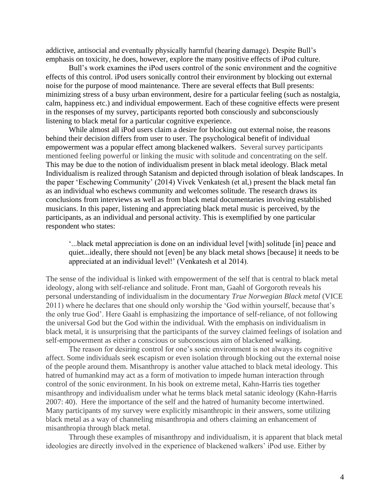addictive, antisocial and eventually physically harmful (hearing damage). Despite Bull's emphasis on toxicity, he does, however, explore the many positive effects of iPod culture.

Bull's work examines the iPod users control of the sonic environment and the cognitive effects of this control. iPod users sonically control their environment by blocking out external noise for the purpose of mood maintenance. There are several effects that Bull presents: minimizing stress of a busy urban environment, desire for a particular feeling (such as nostalgia, calm, happiness etc.) and individual empowerment. Each of these cognitive effects were present in the responses of my survey, participants reported both consciously and subconsciously listening to black metal for a particular cognitive experience.

While almost all iPod users claim a desire for blocking out external noise, the reasons behind their decision differs from user to user. The psychological benefit of individual empowerment was a popular effect among blackened walkers. Several survey participants mentioned feeling powerful or linking the music with solitude and concentrating on the self. This may be due to the notion of individualism present in black metal ideology. Black metal Individualism is realized through Satanism and depicted through isolation of bleak landscapes. In the paper 'Eschewing Community' (2014) Vivek Venkatesh (et al,) present the black metal fan as an individual who eschews community and welcomes solitude. The research draws its conclusions from interviews as well as from black metal documentaries involving established musicians. In this paper, listening and appreciating black metal music is perceived, by the participants, as an individual and personal activity. This is exemplified by one particular respondent who states:

'...black metal appreciation is done on an individual level [with] solitude [in] peace and quiet...ideally, there should not [even] be any black metal shows [because] it needs to be appreciated at an individual level!' (Venkatesh et al 2014).

The sense of the individual is linked with empowerment of the self that is central to black metal ideology, along with self-reliance and solitude. Front man, Gaahl of Gorgoroth reveals his personal understanding of individualism in the documentary *True Norwegian Black metal* (VICE 2011) where he declares that one should only worship the 'God within yourself, because that's the only true God'. Here Gaahl is emphasizing the importance of self-reliance, of not following the universal God but the God within the individual. With the emphasis on individualism in black metal, it is unsurprising that the participants of the survey claimed feelings of isolation and self-empowerment as either a conscious or subconscious aim of blackened walking.

The reason for desiring control for one's sonic environment is not always its cognitive affect. Some individuals seek escapism or even isolation through blocking out the external noise of the people around them. Misanthropy is another value attached to black metal ideology. This hatred of humankind may act as a form of motivation to impede human interaction through control of the sonic environment. In his book on extreme metal, Kahn-Harris ties together misanthropy and individualism under what he terms black metal satanic ideology (Kahn-Harris 2007: 40). Here the importance of the self and the hatred of humanity become intertwined. Many participants of my survey were explicitly misanthropic in their answers, some utilizing black metal as a way of channeling misanthropia and others claiming an enhancement of misanthropia through black metal.

Through these examples of misanthropy and individualism, it is apparent that black metal ideologies are directly involved in the experience of blackened walkers' iPod use. Either by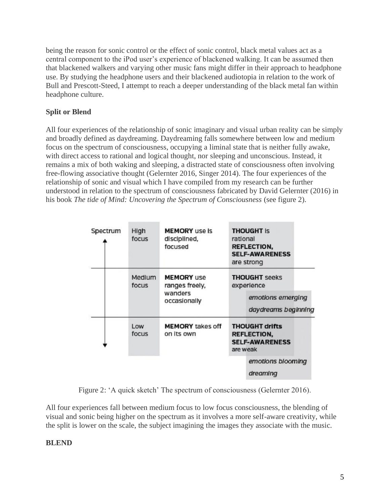being the reason for sonic control or the effect of sonic control, black metal values act as a central component to the iPod user's experience of blackened walking. It can be assumed then that blackened walkers and varying other music fans might differ in their approach to headphone use. By studying the headphone users and their blackened audiotopia in relation to the work of Bull and Prescott-Steed, I attempt to reach a deeper understanding of the black metal fan within headphone culture.

# **Split or Blend**

All four experiences of the relationship of sonic imaginary and visual urban reality can be simply and broadly defined as daydreaming. Daydreaming falls somewhere between low and medium focus on the spectrum of consciousness, occupying a liminal state that is neither fully awake, with direct access to rational and logical thought, nor sleeping and unconscious. Instead, it remains a mix of both waking and sleeping, a distracted state of consciousness often involving free-flowing associative thought (Gelernter 2016, Singer 2014). The four experiences of the relationship of sonic and visual which I have compiled from my research can be further understood in relation to the spectrum of consciousness fabricated by David Gelernter (2016) in his book *The tide of Mind: Uncovering the Spectrum of Consciousness* (see figure 2).

| Spectrum | High<br>focus   | <b>MEMORY</b> use is<br>disciplined,<br>focused                | rational                                                                         | <b>THOUGHT IS</b><br><b>REFLECTION,</b><br><b>SELF-AWARENESS</b><br>are strong |
|----------|-----------------|----------------------------------------------------------------|----------------------------------------------------------------------------------|--------------------------------------------------------------------------------|
|          | Medium<br>focus | <b>MEMORY</b> use<br>ranges freely,<br>wanders<br>occasionally | <b>THOUGHT</b> seeks<br>experience                                               |                                                                                |
|          |                 |                                                                |                                                                                  | emotions emerging<br>daydreams beginning                                       |
|          | Low<br>focus    | <b>MEMORY</b> takes off<br>on its own                          | <b>THOUGHT drifts</b><br><b>REFLECTION,</b><br><b>SELF-AWARENESS</b><br>are weak |                                                                                |
|          |                 |                                                                |                                                                                  | emotions blooming<br>dreaming                                                  |

Figure 2: 'A quick sketch' The spectrum of consciousness (Gelernter 2016).

All four experiences fall between medium focus to low focus consciousness, the blending of visual and sonic being higher on the spectrum as it involves a more self-aware creativity, while the split is lower on the scale, the subject imagining the images they associate with the music.

## **BLEND**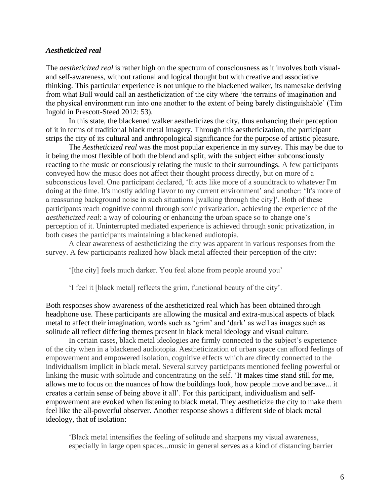#### *Aestheticized real*

The *aestheticized real* is rather high on the spectrum of consciousness as it involves both visualand self-awareness, without rational and logical thought but with creative and associative thinking. This particular experience is not unique to the blackened walker, its namesake deriving from what Bull would call an aestheticization of the city where 'the terrains of imagination and the physical environment run into one another to the extent of being barely distinguishable' (Tim Ingold in Prescott-Steed 2012: 53).

In this state, the blackened walker aestheticizes the city, thus enhancing their perception of it in terms of traditional black metal imagery. Through this aestheticization, the participant strips the city of its cultural and anthropological significance for the purpose of artistic pleasure.

The *Aestheticized real* was the most popular experience in my survey. This may be due to it being the most flexible of both the blend and split, with the subject either subconsciously reacting to the music or consciously relating the music to their surroundings. A few participants conveyed how the music does not affect their thought process directly, but on more of a subconscious level. One participant declared, 'It acts like more of a soundtrack to whatever I'm doing at the time. It's mostly adding flavor to my current environment' and another: 'It's more of a reassuring background noise in such situations [walking through the city]'. Both of these participants reach cognitive control through sonic privatization, achieving the experience of the *aestheticized real*: a way of colouring or enhancing the urban space so to change one's perception of it. Uninterrupted mediated experience is achieved through sonic privatization, in both cases the participants maintaining a blackened audiotopia.

A clear awareness of aestheticizing the city was apparent in various responses from the survey. A few participants realized how black metal affected their perception of the city:

'[the city] feels much darker. You feel alone from people around you'

'I feel it [black metal] reflects the grim, functional beauty of the city'.

Both responses show awareness of the aestheticized real which has been obtained through headphone use. These participants are allowing the musical and extra-musical aspects of black metal to affect their imagination, words such as 'grim' and 'dark' as well as images such as solitude all reflect differing themes present in black metal ideology and visual culture.

In certain cases, black metal ideologies are firmly connected to the subject's experience of the city when in a blackened audiotopia. Aestheticization of urban space can afford feelings of empowerment and empowered isolation, cognitive effects which are directly connected to the individualism implicit in black metal. Several survey participants mentioned feeling powerful or linking the music with solitude and concentrating on the self. 'It makes time stand still for me, allows me to focus on the nuances of how the buildings look, how people move and behave... it creates a certain sense of being above it all'. For this participant, individualism and selfempowerment are evoked when listening to black metal. They aestheticize the city to make them feel like the all-powerful observer. Another response shows a different side of black metal ideology, that of isolation:

'Black metal intensifies the feeling of solitude and sharpens my visual awareness, especially in large open spaces...music in general serves as a kind of distancing barrier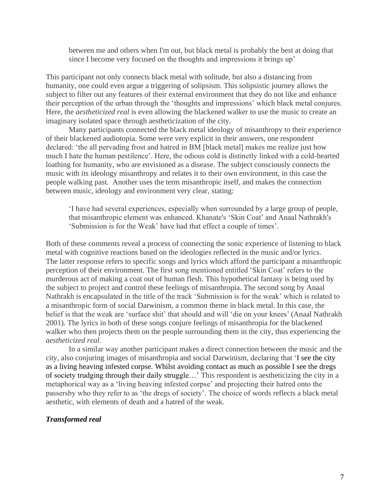between me and others when I'm out, but black metal is probably the best at doing that since I become very focused on the thoughts and impressions it brings up'

This participant not only connects black metal with solitude, but also a distancing from humanity, one could even argue a triggering of solipsism. This solipsistic journey allows the subject to filter out any features of their external environment that they do not like and enhance their perception of the urban through the 'thoughts and impressions' which black metal conjures. Here, the *aestheticized real* is even allowing the blackened walker to use the music to create an imaginary isolated space through aestheticization of the city.

Many participants connected the black metal ideology of misanthropy to their experience of their blackened audiotopia. Some were very explicit in their answers, one respondent declared: 'the all pervading frost and hatred in BM [black metal] makes me realize just how much I hate the human pestilence'. Here, the odious cold is distinctly linked with a cold-hearted loathing for humanity, who are envisioned as a disease. The subject consciously connects the music with its ideology misanthropy and relates it to their own environment, in this case the people walking past. Another uses the term misanthropic itself, and makes the connection between music, ideology and environment very clear, stating:

'I have had several experiences, especially when surrounded by a large group of people, that misanthropic element was enhanced. Khanate's 'Skin Coat' and Anaal Nathrakh's 'Submission is for the Weak' have had that effect a couple of times'.

Both of these comments reveal a process of connecting the sonic experience of listening to black metal with cognitive reactions based on the ideologies reflected in the music and/or lyrics. The latter response refers to specific songs and lyrics which afford the participant a misanthropic perception of their environment. The first song mentioned entitled 'Skin Coat' refers to the murderous act of making a coat out of human flesh. This hypothetical fantasy is being used by the subject to project and control these feelings of misanthropia. The second song by Anaal Nathrakh is encapsulated in the title of the track 'Submission is for the weak' which is related to a misanthropic form of social Darwinism, a common theme in black metal. In this case, the belief is that the weak are 'surface shit' that should and will 'die on your knees' (Anaal Nathrakh 2001). The lyrics in both of these songs conjure feelings of misanthropia for the blackened walker who then projects them on the people surrounding them in the city, thus experiencing the *aestheticized real*.

In a similar way another participant makes a direct connection between the music and the city, also conjuring images of misanthropia and social Darwinism, declaring that 'I see the city as a living heaving infested corpse. Whilst avoiding contact as much as possible I see the dregs of society trudging through their daily struggle…' This respondent is aestheticizing the city in a metaphorical way as a 'living heaving infested corpse' and projecting their hatred onto the passersby who they refer to as 'the dregs of society'. The choice of words reflects a black metal aesthetic, with elements of death and a hatred of the weak.

#### *Transformed real*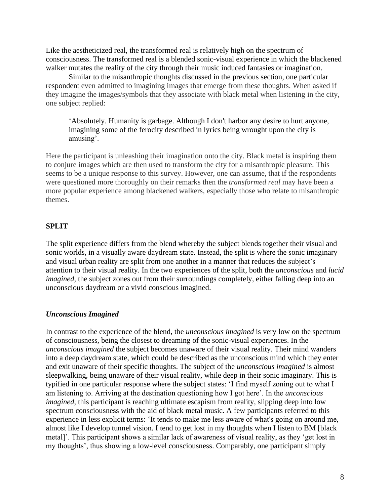Like the aestheticized real, the transformed real is relatively high on the spectrum of consciousness. The transformed real is a blended sonic-visual experience in which the blackened walker mutates the reality of the city through their music induced fantasies or imagination.

Similar to the misanthropic thoughts discussed in the previous section, one particular respondent even admitted to imagining images that emerge from these thoughts. When asked if they imagine the images/symbols that they associate with black metal when listening in the city, one subject replied:

'Absolutely. Humanity is garbage. Although I don't harbor any desire to hurt anyone, imagining some of the ferocity described in lyrics being wrought upon the city is amusing'.

Here the participant is unleashing their imagination onto the city. Black metal is inspiring them to conjure images which are then used to transform the city for a misanthropic pleasure. This seems to be a unique response to this survey. However, one can assume, that if the respondents were questioned more thoroughly on their remarks then the *transformed real* may have been a more popular experience among blackened walkers, especially those who relate to misanthropic themes.

## **SPLIT**

The split experience differs from the blend whereby the subject blends together their visual and sonic worlds, in a visually aware daydream state. Instead, the split is where the sonic imaginary and visual urban reality are split from one another in a manner that reduces the subject's attention to their visual reality. In the two experiences of the split, both the *unconscious* and *lucid imagined*, the subject zones out from their surroundings completely, either falling deep into an unconscious daydream or a vivid conscious imagined.

## *Unconscious Imagined*

In contrast to the experience of the blend, the *unconscious imagined* is very low on the spectrum of consciousness, being the closest to dreaming of the sonic-visual experiences. In the *unconscious imagined* the subject becomes unaware of their visual reality. Their mind wanders into a deep daydream state, which could be described as the unconscious mind which they enter and exit unaware of their specific thoughts. The subject of the *unconscious imagined* is almost sleepwalking, being unaware of their visual reality, while deep in their sonic imaginary. This is typified in one particular response where the subject states: 'I find myself zoning out to what I am listening to. Arriving at the destination questioning how I got here'. In the *unconscious imagined*, this participant is reaching ultimate escapism from reality, slipping deep into low spectrum consciousness with the aid of black metal music. A few participants referred to this experience in less explicit terms: 'It tends to make me less aware of what's going on around me, almost like I develop tunnel vision. I tend to get lost in my thoughts when I listen to BM [black metal]'. This participant shows a similar lack of awareness of visual reality, as they 'get lost in my thoughts', thus showing a low-level consciousness. Comparably, one participant simply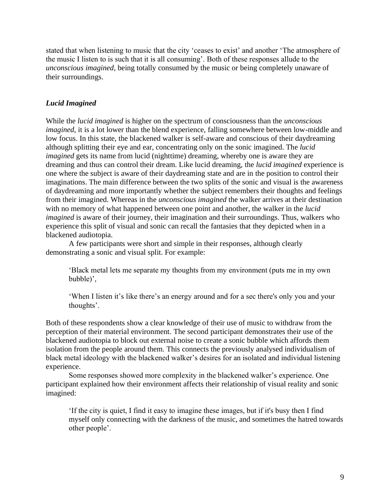stated that when listening to music that the city 'ceases to exist' and another 'The atmosphere of the music I listen to is such that it is all consuming'. Both of these responses allude to the *unconscious imagined*, being totally consumed by the music or being completely unaware of their surroundings.

### *Lucid Imagined*

While the *lucid imagined* is higher on the spectrum of consciousness than the *unconscious imagined*, it is a lot lower than the blend experience, falling somewhere between low-middle and low focus. In this state, the blackened walker is self-aware and conscious of their daydreaming although splitting their eye and ear, concentrating only on the sonic imagined. The *lucid imagined* gets its name from lucid (nighttime) dreaming, whereby one is aware they are dreaming and thus can control their dream. Like lucid dreaming, the *lucid imagined* experience is one where the subject is aware of their daydreaming state and are in the position to control their imaginations. The main difference between the two splits of the sonic and visual is the awareness of daydreaming and more importantly whether the subject remembers their thoughts and feelings from their imagined. Whereas in the *unconscious imagined* the walker arrives at their destination with no memory of what happened between one point and another, the walker in the *lucid imagined* is aware of their journey, their imagination and their surroundings. Thus, walkers who experience this split of visual and sonic can recall the fantasies that they depicted when in a blackened audiotopia.

A few participants were short and simple in their responses, although clearly demonstrating a sonic and visual split. For example:

'Black metal lets me separate my thoughts from my environment (puts me in my own bubble)',

'When I listen it's like there's an energy around and for a sec there's only you and your thoughts'.

Both of these respondents show a clear knowledge of their use of music to withdraw from the perception of their material environment. The second participant demonstrates their use of the blackened audiotopia to block out external noise to create a sonic bubble which affords them isolation from the people around them. This connects the previously analysed individualism of black metal ideology with the blackened walker's desires for an isolated and individual listening experience.

Some responses showed more complexity in the blackened walker's experience. One participant explained how their environment affects their relationship of visual reality and sonic imagined:

'If the city is quiet, I find it easy to imagine these images, but if it's busy then I find myself only connecting with the darkness of the music, and sometimes the hatred towards other people'.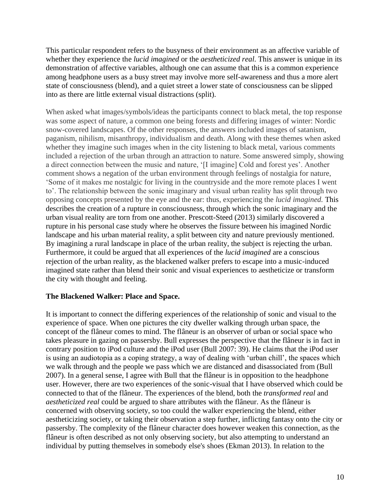This particular respondent refers to the busyness of their environment as an affective variable of whether they experience the *lucid imagined* or the *aestheticized real*. This answer is unique in its demonstration of affective variables, although one can assume that this is a common experience among headphone users as a busy street may involve more self-awareness and thus a more alert state of consciousness (blend), and a quiet street a lower state of consciousness can be slipped into as there are little external visual distractions (split).

When asked what images/symbols/ideas the participants connect to black metal, the top response was some aspect of nature, a common one being forests and differing images of winter: Nordic snow-covered landscapes. Of the other responses, the answers included images of satanism, paganism, nihilism, misanthropy, individualism and death. Along with these themes when asked whether they imagine such images when in the city listening to black metal, various comments included a rejection of the urban through an attraction to nature. Some answered simply, showing a direct connection between the music and nature, '[I imagine] Cold and forest yes'. Another comment shows a negation of the urban environment through feelings of nostalgia for nature, 'Some of it makes me nostalgic for living in the countryside and the more remote places I went to'. The relationship between the sonic imaginary and visual urban reality has split through two opposing concepts presented by the eye and the ear: thus, experiencing the *lucid imagined.* This describes the creation of a rupture in consciousness, through which the sonic imaginary and the urban visual reality are torn from one another. Prescott-Steed (2013) similarly discovered a rupture in his personal case study where he observes the fissure between his imagined Nordic landscape and his urban material reality, a split between city and nature previously mentioned. By imagining a rural landscape in place of the urban reality, the subject is rejecting the urban. Furthermore, it could be argued that all experiences of the *lucid imagined* are a conscious rejection of the urban reality, as the blackened walker prefers to escape into a music-induced imagined state rather than blend their sonic and visual experiences to aestheticize or transform the city with thought and feeling.

## **The Blackened Walker: Place and Space.**

It is important to connect the differing experiences of the relationship of sonic and visual to the experience of space. When one pictures the city dweller walking through urban space, the concept of the flâneur comes to mind. The flâneur is an observer of urban or social space who takes pleasure in gazing on passersby. Bull expresses the perspective that the flâneur is in fact in contrary position to iPod culture and the iPod user (Bull 2007: 39). He claims that the iPod user is using an audiotopia as a coping strategy, a way of dealing with 'urban chill', the spaces which we walk through and the people we pass which we are distanced and disassociated from (Bull 2007). In a general sense, I agree with Bull that the flâneur is in opposition to the headphone user. However, there are two experiences of the sonic-visual that I have observed which could be connected to that of the flâneur. The experiences of the blend, both the *transformed real* and *aestheticized real* could be argued to share attributes with the flâneur. As the flâneur is concerned with observing society, so too could the walker experiencing the blend, either aestheticizing society, or taking their observation a step further, inflicting fantasy onto the city or passersby. The complexity of the flâneur character does however weaken this connection, as the flâneur is often described as not only observing society, but also attempting to understand an individual by putting themselves in somebody else's shoes (Ekman 2013). In relation to the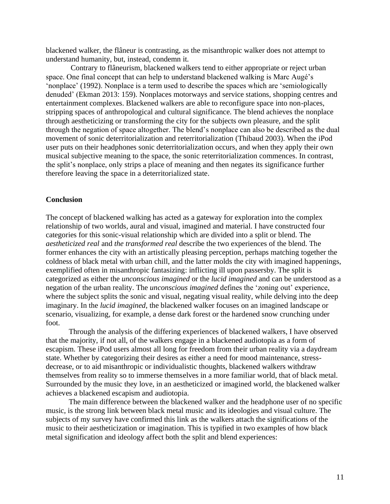blackened walker, the flâneur is contrasting, as the misanthropic walker does not attempt to understand humanity, but, instead, condemn it.

Contrary to flâneurism, blackened walkers tend to either appropriate or reject urban space. One final concept that can help to understand blackened walking is Marc Augé's 'nonplace' (1992). Nonplace is a term used to describe the spaces which are 'semiologically denuded' (Ekman 2013: 159). Nonplaces motorways and service stations, shopping centres and entertainment complexes. Blackened walkers are able to reconfigure space into non-places, stripping spaces of anthropological and cultural significance. The blend achieves the nonplace through aestheticizing or transforming the city for the subjects own pleasure, and the split through the negation of space altogether. The blend's nonplace can also be described as the dual movement of sonic deterritorialization and reterritorialization (Thibaud 2003). When the iPod user puts on their headphones sonic deterritorialization occurs, and when they apply their own musical subjective meaning to the space, the sonic reterritorialization commences. In contrast, the split's nonplace, only strips a place of meaning and then negates its significance further therefore leaving the space in a deterritorialized state.

#### **Conclusion**

The concept of blackened walking has acted as a gateway for exploration into the complex relationship of two worlds, aural and visual, imagined and material. I have constructed four categories for this sonic-visual relationship which are divided into a split or blend. The *aestheticized real* and *the transformed real* describe the two experiences of the blend. The former enhances the city with an artistically pleasing perception, perhaps matching together the coldness of black metal with urban chill, and the latter molds the city with imagined happenings, exemplified often in misanthropic fantasizing: inflicting ill upon passersby. The split is categorized as either the *unconscious imagined* or the *lucid imagined* and can be understood as a negation of the urban reality. The *unconscious imagined* defines the 'zoning out' experience, where the subject splits the sonic and visual, negating visual reality, while delving into the deep imaginary. In the *lucid imagined*, the blackened walker focuses on an imagined landscape or scenario, visualizing, for example, a dense dark forest or the hardened snow crunching under foot.

Through the analysis of the differing experiences of blackened walkers, I have observed that the majority, if not all, of the walkers engage in a blackened audiotopia as a form of escapism. These iPod users almost all long for freedom from their urban reality via a daydream state. Whether by categorizing their desires as either a need for mood maintenance, stressdecrease, or to aid misanthropic or individualistic thoughts, blackened walkers withdraw themselves from reality so to immerse themselves in a more familiar world, that of black metal. Surrounded by the music they love, in an aestheticized or imagined world, the blackened walker achieves a blackened escapism and audiotopia.

The main difference between the blackened walker and the headphone user of no specific music, is the strong link between black metal music and its ideologies and visual culture. The subjects of my survey have confirmed this link as the walkers attach the significations of the music to their aestheticization or imagination. This is typified in two examples of how black metal signification and ideology affect both the split and blend experiences: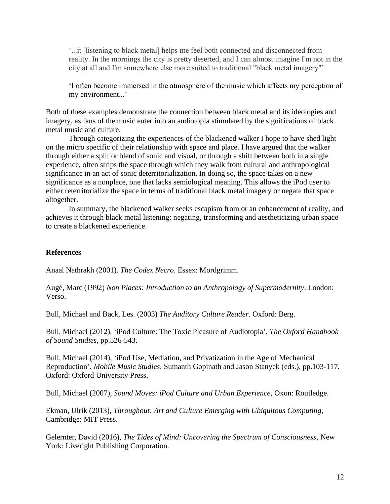'...it [listening to black metal] helps me feel both connected and disconnected from reality. In the mornings the city is pretty deserted, and I can almost imagine I'm not in the city at all and I'm somewhere else more suited to traditional "black metal imagery"'

'I often become immersed in the atmosphere of the music which affects my perception of my environment...'

Both of these examples demonstrate the connection between black metal and its ideologies and imagery, as fans of the music enter into an audiotopia stimulated by the significations of black metal music and culture.

Through categorizing the experiences of the blackened walker I hope to have shed light on the micro specific of their relationship with space and place. I have argued that the walker through either a split or blend of sonic and visual, or through a shift between both in a single experience, often strips the space through which they walk from cultural and anthropological significance in an act of sonic deterritorialization. In doing so, the space takes on a new significance as a nonplace, one that lacks semiological meaning. This allows the iPod user to either reterritorialize the space in terms of traditional black metal imagery or negate that space altogether.

In summary, the blackened walker seeks escapism from or an enhancement of reality, and achieves it through black metal listening: negating, transforming and aestheticizing urban space to create a blackened experience.

### **References**

Anaal Nathrakh (2001). *The Codex Necro*. Essex: Mordgrimm.

Augé, Marc (1992) *Non Places: Introduction to an Anthropology of Supermodernity*. London: Verso.

Bull, Michael and Back, Les. (2003) *The Auditory Culture Reader*. Oxford: Berg.

Bull, Michael (2012), 'iPod Culture: The Toxic Pleasure of Audiotopia', *The Oxford Handbook of Sound Studies,* pp.526-543.

Bull, Michael (2014), 'iPod Use, Mediation, and Privatization in the Age of Mechanical Reproduction', *Mobile Music Studies,* Sumanth Gopinath and Jason Stanyek (eds.), pp.103-117. Oxford: Oxford University Press.

Bull, Michael (2007), *Sound Moves: iPod Culture and Urban Experience*, Oxon: Routledge.

Ekman, Ulrik (2013), *Throughout: Art and Culture Emerging with Ubiquitous Computing*, Cambridge: MIT Press.

Gelernter, David (2016), *The Tides of Mind: Uncovering the Spectrum of Consciousness*, New York: Liveright Publishing Corporation.